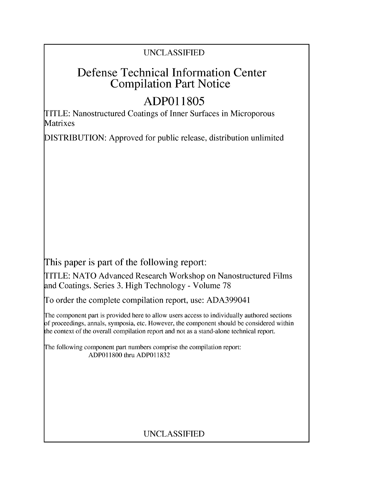### **UNCLASSIFIED**

## Defense Technical Information Center Compilation Part Notice

# **ADPO 11805**

TITLE: Nanostructured Coatings of Inner Surfaces in Microporous Matrixes

**DISTRIBUTION:** Approved for public release, distribution unlimited

This paper is part of the following report:

TITLE: **NATO** Advanced Research Workshop on Nanostructured Films and Coatings. Series **3.** High Technology **-** Volume **78**

To order the complete compilation report, use: **ADA399041**

The component part is provided here to allow users access to individually authored sections **A** proceedings, annals, symposia, etc. However, the component should be considered within [he context of the overall compilation report and not as a stand-alone technical report.

The following component part numbers comprise the compilation report: **ADPO 11800** thru. **ADPO 11832**

## **UNCLASSIFIED**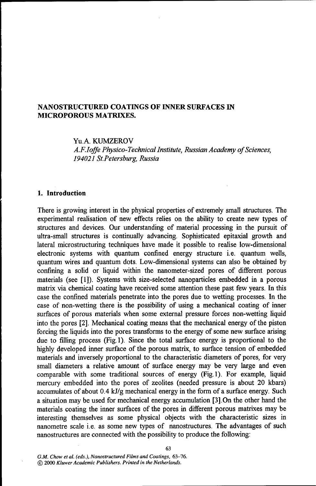#### **NANOSTRUCTURED COATINGS** OF **INNER SURFACES IN** MICROPOROUS MATRIXES.

Yu.A. KUMZEROV *A.F.Ioffe Physico-Technical Institute, Russian Academy of Sciences, 194021 St.Petersburg, Russia*

#### **1.** Introduction

There is growing interest in the physical properties of extremely small structures. The experimental realisation of new effects relies on the ability to create new types of structures and devices. Our understanding of material processing in the pursuit of ultra-small structures is continually advancing. Sophisticated epitaxial growth and lateral microstructuring techniques have made it possible to realise low-dimensional electronic systems with quantum confined energy structure i.e. quantum wells, quantum wires and quantum dots. Low-dimensional systems can also be obtained by confining a solid or liquid within the nanometer-sized pores of different porous materials (see [1]). Systems with size-selected nanoparticles embedded in a porous matrix via chemical coating have received some attention these past few years. In this case the confined materials penetrate into the pores due to wetting processes. In the case of non-wetting there is the possibility of using a mechanical coating of inner surfaces of porous materials when some external pressure forces non-wetting liquid into the pores [2]. Mechanical coating means that the mechanical energy of the piston forcing the liquids into the pores transforms to the energy of some new surface arising due to filling process (Fig. 1). Since the total surface energy is proportional to the highly developed inner surface of the porous matrix, to surface tension of embedded materials and inversely proportional to the characteristic diameters of pores, for very small diameters a relative amount of surface energy may be very large and even comparable with some traditional sources of energy (Fig. **1).** For example, liquid mercury embedded into the pores of zeolites (needed pressure is about 20 kbars) accumulates of about 0.4 kJ/g mechanical energy in the form of a surface energy. Such a situation may be used for mechanical energy accumulation [3].On the other hand the materials coating the inner surfaces of the pores in different porous matrixes may be interesting themselves as some physical objects with the characteristic sizes in nanometre scale i.e. as some new types of nanostructures. The advantages of such nanostructures are connected with the possibility to produce the following: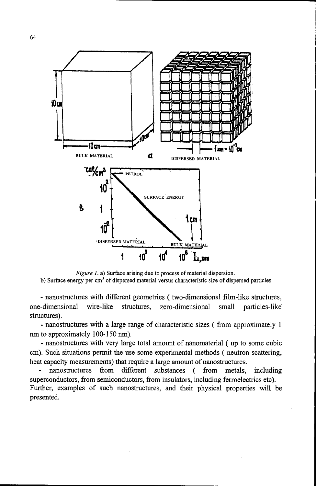

*Figure 1.* a) Surface arising due to process of material dispersion. b) Surface energy per cm<sup>3</sup> of dispersed material versus characteristic size of dispersed particles

- nanostructures with different geometries ( two-dimensional film-like structures, one-dimensional wire-like structures, zero-dimensional small particles-like structures).

- nanostructures. with a large range of characteristic sizes ( from approximately **I** nm to approximately 100-150 nm).

- nanostructures with very large total amount of nanomaterial ( up to some cubic cm). Such situations permit the use some experimental methods ( neutron scattering, heat capacity measurements) that require a large amount of nanostructures.<br>- nanostructures from different substances (from metals, including

superconductors, from semiconductors, from insulators, including ferroelectrics etc). Further, examples of such nanostructures, and their physical properties will be presented.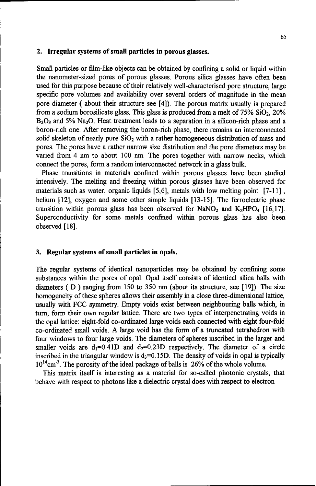#### 2. Irregular systems of small particles in porous glasses.

Small particles or film-like objects can be obtained by confining a solid or liquid within the nanometer-sized pores of porous glasses. Porous silica glasses have often been used for this purpose because of their relatively well-characterised pore structure, large specific pore volumes and availability over several orders of magnitude in the mean pore diameter ( about their structure see [4]). The porous matrix usually is prepared from a sodium borosilicate glass. This glass is produced from a melt of  $75\%$  SiO<sub>2</sub>,  $20\%$  $B_2O_3$  and 5% Na<sub>2</sub>O. Heat treatment leads to a separation in a silicon-rich phase and a boron-rich one. After removing the boron-rich phase, there remains an interconnected solid skeleton of nearly pure  $SiO<sub>2</sub>$  with a rather homogeneous distribution of mass and pores. The pores have a rather narrow size distribution and the pore diameters may be varied from 4 nm to about 100 nm. The pores together with narrow necks, which connect the pores, form a random interconnected network in a glass bulk.

Phase transitions in materials confined within porous glasses have been studied intensively. The melting and freezing within porous glasses have been observed for materials such as water, organic liquids [5,6], metals with low melting point [7-11], helium [12], oxygen and some other simple liquids [13-15]. The ferroelectric phase transition within porous glass has been observed for NaNO<sub>2</sub> and K<sub>2</sub>HPO<sub>4</sub> [16,17]. Superconductivity for some metals confined within porous glass has also been observed [18].

#### 3. Regular systems of small particles in opals.

The regular systems of identical nanoparticles may be obtained by confining some substances within the pores of opal. Opal itself consists of identical silica balls with diameters ( D ) ranging from 150 to 350 nm (about its structure, see [19]). The size homogeneity of these spheres allows their assembly in a close three-dimensional lattice, usually with FCC symmetry. Empty voids exist between neighbouring balls which, in turn, form their own regular lattice. There are two types of interpenetrating voids in the opal lattice: eight-fold co-ordinated large voids each connected with eight four-fold co-ordinated small voids. A large void has the form of a truncated tetrahedron with four windows to four large voids. The diameters of spheres inscribed in the larger and smaller voids are  $d_1=0.41D$  and  $d_2=0.23D$  respectively. The diameter of a circle inscribed in the triangular window is  $d_3 = 0.15D$ . The density of voids in opal is typically  $10^{14}$ cm<sup>-3</sup>. The porosity of the ideal package of balls is 26% of the whole volume.

This matrix itself is interesting as a material for so-called photonic crystals, that behave with respect to photons like a dielectric crystal does with respect to electron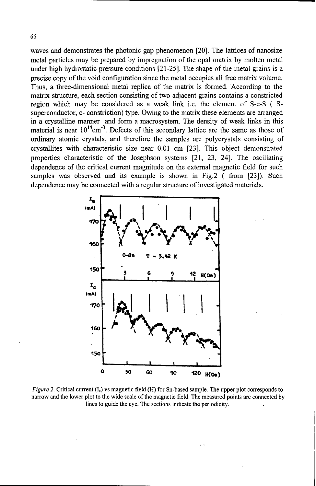waves and demonstrates the photonic gap phenomenon [20]. The lattices of nanosize metal particles may be prepared by impregnation of the opal matrix by molten metal under high hydrostatic pressure conditions [21-25]. The shape of the metal grains is a precise copy of the void configuration since the metal occupies all free matrix volume. Thus, a three-dimensional metal replica of the matrix is formed. According to the matrix structure, each section consisting of two adjacent grains contains a constricted region which may be considered as a weak link i.e. the element of S-c-S ( **S**superconductor, c- constriction) type. Owing to the matrix these elements are arranged in a crystalline manner and form a macrosystem. The density of weak links in this material is near  $10^{14}$ cm<sup>-3</sup>. Defects of this secondary lattice are the same as those of ordinary atomic crystals, and therefore the samples are polycrystals consisting of crystallites with characteristic size near 0.01 cm [23]. This object demonstrated properties characteristic of the Josephson systems [21, 23, 24]. The oscillating dependence of the critical current magnitude on the external magnetic field for such samples was observed and its example is shown in Fig.2 (from [23]). Such dependence may be connected with a regular structure of investigated materials.



*Figure 2.* Critical current (I<sub>c</sub>) vs magnetic field (H) for Sn-based sample. The upper plot corresponds to narrow and the lower plot to the wide scale of the magnetic field. The measured points are connected by lines to guide the eye. The sections indicate the periodicity.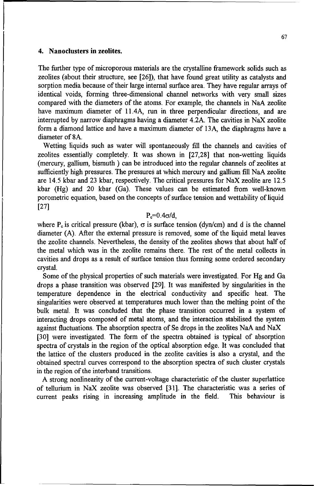#### 4. Nanoclusters in zeolites.

The fuirther type of microporous materials are the crystalline framework solids such as zeolites (about their structure, see [261), that have found great utility as catalysts and sorption media because of their large internal surface area. They have regular arrays of identical voids, forming three-dimensional channel networks with very small sizes compared with the diameters of the atoms. For example, the channels in NaA zeolite have maximum diameter of 11.4A, run in three perpendicular directions, and are interrupted by narrow diaphragms having a diameter 4.2A. The cavities in NaX zeolite form a diamond lattice and have a maximum diameter of 13A, the diaphragms have a diameter of 8A.

Wetting liquids such as water will spontaneously fill the channels and cavities of zeolites essentially completely. It was shown in [27,28] that non-wetting liquids (mercury, gallium, bismuth ) can be introduced into the regular channels of zeolites at sufficiently high pressures. The pressures at which mercury and gallium fill NaA zeolite are 14.5 kbar and 23 kbar, respectively. The critical pressures for NaX zeolite are 12.5 kbar (Hg) and 20 kbar (Ga). These values can be estimated from well-known porometric equation, based on the concepts of surface tension and wettability of liquid [27]

#### $P_c = 0.4 \sigma/d$ .

where P<sub>c</sub> is critical pressure (kbar),  $\sigma$  is surface tension (dyn/cm) and d is the channel diameter (A). After the external pressure is removed, some of the liquid metal leaves the zeolite channels. Nevertheless, the density of the zeolites shows that about half of the metal which was in the zeolite remains there. The rest of the metal collects in cavities and drops as a result of surface tension thus forming some ordered secondary crystal.

Some of the physical properties of such materials were investigated. For Hg and Ga drops a phase transition was observed [29]. It was manifested by singularities in the temperature dependence in the electrical conductivity and specific heat. The singularities were observed at temperatures much lower than the melting point of the bulk metal. It was concluded that the phase transition occurred in a system of interacting drops composed of metal atoms, and the interaction stabilised the system against fluctuations. The absorption spectra of Se drops in the zeolites NaA and NaX [30] were investigated. The form of the spectra obtained is typical of absorption spectra of crystals in the region of the optical absorption edge. It was concluded that

the lattice of the clusters produced in the zeolite cavities is also a crystal, and the obtained spectral curves correspond to the absorption spectra of such cluster crystals in the region of the interband transitions.

A strong nonlinearity of the current-voltage characteristic of the cluster superlattice of tellurium in NaX zeolite was observed [31]. The characteristic was a series of current peaks rising in increasing amplitude in the field. This behaviour is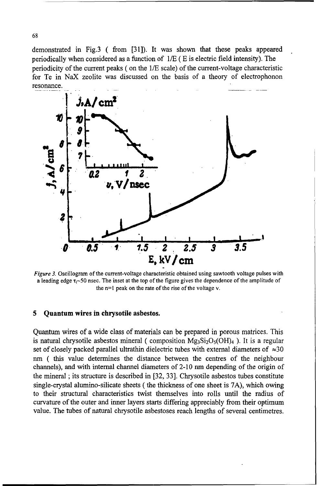demonstrated in Fig.3 **(** from [31]). It was shown that these peaks appeared periodically when considered as a function of **1/E (** E is electric field intensity). The periodicity of the current peaks ( on the **1/E** scale) of the current-voltage characteristic for Te in NaX zeolite was discussed on the basis of a theory of electrophonon resonance.



*Figure 3.* Oscillogram of the current-voltage characteristic obtained using sawtooth voltage pulses with a leading edge  $\tau_1$ -50 nsec. The inset at the top of the figure gives the dependence of the amplitude of the n=l peak on the rate of the rise of the voltage v.

#### **5** Quantum wires in chrysotile asbestos.

Quantum wires of a wide class of materials can be prepared in porous matrices. This is natural chrysotile asbestos mineral ( composition  $Mg_3Si_2O_5(OH)_4$  ). It is a regular set of closely packed parallel ultrathin dielectric tubes with external diameters of  $\approx 30$ nm **(** this value determines the distance between the centres of the neighbour channels), and with internal channel diameters of 2-10 nm depending of the origin of the mineral ; its structure is described in [32, 33]. Chrysotile asbestos tubes constitute single-crystal alumino-silicate sheets ( the thickness of one sheet is 7A), which owing to their structural characteristics twist themselves into rolls until the radius of curvature of the outer and inner layers starts differing appreciably from their optimum value. The tubes of natural chrysotile asbestoses reach lengths of several centimetres.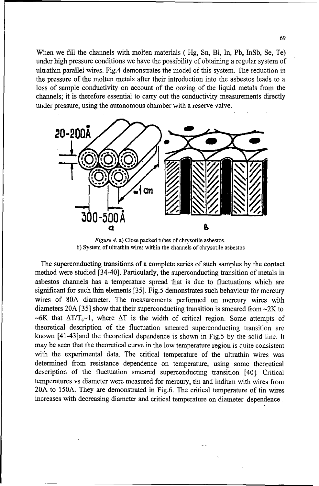When we fill the channels with molten materials ( Hg, Sn, Bi, In, Pb, InSb, Se, Te) under high pressure conditions we have the possibility of obtaining a regular system of ultrathin parallel wires. Fig.4 demonstrates the model of this system. The reduction in the pressure of the molten metals after their introduction into the asbestos leads to a loss of sample conductivity on account of the oozing of the liquid metals from the channels; it is therefore essential to carry out the conductivity measurements directly under pressure, using the autonomous chamber with a reserve valve.



*Figure* 4. a) Close packed tubes of chrysotile asbestos. b) System of ultrathin wires within the channels of chrysotile asbestos

The superconducting transitions of a complete series of such samples by the contact method were studied [34-40]. Particularly, the superconducting transition of metals in asbestos channels has a temperature spread that is due to fluctuations which are significant for such thin elements [35]. Fig.5 demonstrates such behaviour for mercury wires of 80A diameter. The measurements performed on mercury wires with diameters 20A [35] show that their superconducting transition is smeared from -2K to  $\sim$  6K that  $\Delta T/T_c$ -1, where  $\Delta T$  is the width of critical region. Some attempts of theoretical description of the fluctuation smeared superconducting transition are known [41-43]and the theoretical dependence is shown in Fig.5 by the solid line. It may be seen that the theoretical curve in the low temperature region is quite consistent with the experimental data. The critical temperature of the ultrathin wires was determined from resistance dependence on temperature, using some theoretical description of the fluctuation smeared superconducting transition [40]. Critical temperatures vs diameter were measured for mercury, tin and indium with wires from 20A to 150A. They are demonstrated in Fig.6. The critical temperature of tin wires increases with decreasing diameter and critical temperature on diameter dependence.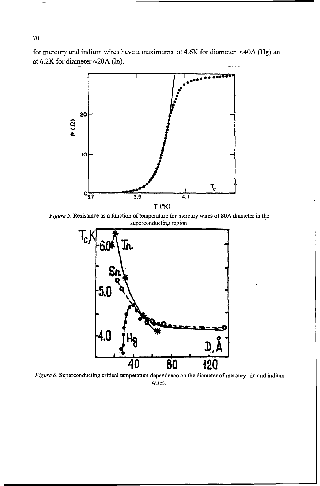for mercury and indium wires have a maximums at 4.6K for diameter  $\approx$ 40A (Hg) an at 6.2K for diameter **•20A** (In).



*Figure 5.* Resistance as a function of temperature for mercury wires of 80A diameter in the superconducting region



*Figure* 6. Superconducting critical temperature dependence on the diameter of mercury, tin and indium wires.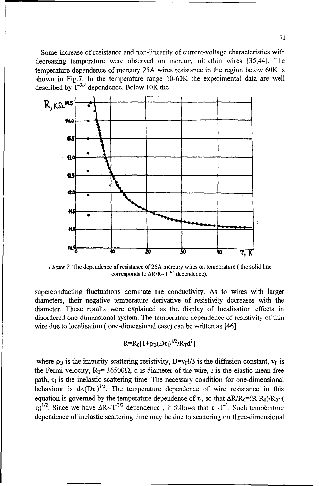Some increase of resistance and non-linearity of current-voltage characteristics with decreasing temperature were observed on mercury ultrathin wires [35,44]. The temperature dependence of mercury 25A wires resistance in the region below 60K is shown in Fig.7. In the temperature range 10-60K the experimental data are well described by **T"3/2** dependence. Below 10K the



*Figure 7.* The dependence of resistance of 25A mercury wires on temperature (the solid line corresponds to  $\Delta R/R \sim T^{3/2}$  dependence).

superconducting fluctuations dominate the conductivity. As to wires with larger diameters, their negative temperature derivative of resistivity decreases with the diameter. These results were explained as the display of localisation effects in disordered one-dimensional system. The temperature dependence of resistivity of thin wire due to localisation ( one-dimensional case) can be written as [46]

$$
R = R_0 [1 + \rho_B (D \tau_i)^{1/2} / R_T d^2]
$$

where  $\rho_B$  is the impurity scattering resistivity, D=v<sub>F</sub>l/3 is the diffusion constant, v<sub>F</sub> is the Fermi velocity,  $R_T = 36500\Omega$ , d is diameter of the wire, l is the elastic mean free path,  $\tau_i$  is the inelastic scattering time. The necessary condition for one-dimensional behaviour is  $d \langle (D\tau_i)^{1/2}$ . The temperature dependence of wire resistance in this equation is governed by the temperature dependence of  $\tau_i$ , so that  $\Delta R/R_0 = (R-R_0)/R_0$  -(  $\tau_i$ <sup>1/2</sup>. Since we have  $\Delta R \sim T^{3/2}$  dependence, it follows that  $\tau_i \sim T^{-3}$ . Such temperature dependence of inelastic scattering time may be due to scattering on three-dimensional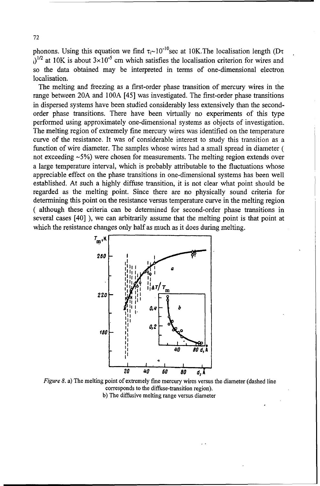phonons. Using this equation we find  $\tau_i \sim 10^{-10}$  sec at 10K. The localisation length (D $\tau$ )<sup>1/2</sup> at 10K is about 3×10<sup>-5</sup> cm which satisfies the localisation criterion for wires and so the data obtained may be interpreted in terms of one-dimensional electron localisation.

The melting and freezing as a first-order phase transition of mercury wires in the range between 20A and **100A** [45] was investigated. The first-order phase transitions in dispersed systems have been studied considerably less extensively than the secondorder phase transitions. There have been virtually no experiments of this type performed using approximately one-dimensional systems as objects of investigation. The melting region of extremely fine mercury wires was identified on the temperature curve of the resistance. It was of considerable interest to study this transition as a function of wire diameter. The samples whose wires had a small spread in diameter ( not exceeding -5%) were chosen for measurements. The melting region extends over a large temperature interval, which is probably attributable to the fluctuations whose appreciable effect on the phase transitions in one-dimensional systems has been well established. At such a highly diffuse transition, it is not clear what point should be regarded as the melting point. Since there are no physically sound criteria for determining this point on the resistance versus temperature curve in the melting region ( although these criteria can be determined for second-order phase transitions in several cases [40] ), we can arbitrarily assume that the melting point is that point at which the resistance changes only half as much as it does during melting.



*Figure 8. a*) The melting point of extremely fine mercury wires versus the diameter (dashed line corresponds to the diffuse-transition region). b) The diffusive melting range versus diameter

**72**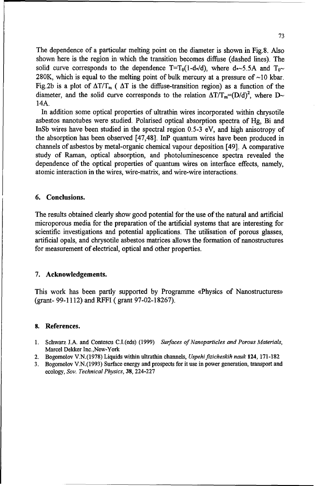The dependence of a particular melting point on the diameter is shown in Fig.8. Also shown here is the region in which the transition becomes diffuse (dashed lines). The solid curve corresponds to the dependence T=T<sub>0</sub>(1-d<sub>\*</sub>/d), where d<sub>\*</sub>-5.5A and T<sub>0</sub> 280K, which is equal to the melting point of bulk mercury at a pressure of **-10** kbar. Fig.2b is a plot of  $\Delta T/T_{m}$  ( $\Delta T$  is the diffuse-transition region) as a function of the diameter, and the solid curve corresponds to the relation  $\Delta T/T_m = (D/d)^2$ , where  $D \sim$ 14A.

In addition some optical properties of ultrathin wires incorporated within chrysotile asbestos nanotubes were studied. Polarised optical absorption spectra of Hg, Bi and InSb wires have been studied in the spectral region 0.5-3 eV, and high anisotropy of the absorption has been observed [47,48]. InP quantum wires have been produced in channels of asbestos by metal-organic chemical vapour deposition [49]. A comparative study of Raman, optical absorption, and photoluminescence spectra revealed the dependence of the optical properties of quantum wires on interface effects, namely, atomic interaction in the wires, wire-matrix, and wire-wire interactions.

#### 6. Conclusions.

The results obtained clearly show good potential for the use of the natural and artificial microporous media for the preparation of the artificial systems that are interesting for scientific investigations and potential applications. The utilisation of porous glasses, artificial opals, and chrysotile asbestos matrices allows the formation of nanostructures for measurement of electrical, optical and other properties.

#### 7. Acknowledgements.

This work has been partly supported by Programme «Physics of Nanostructures» (grant- 99-1112) and RFFI ( grant 97-02-18267).

#### 8. References.

- 1. Schwarz J.A. and Contescu C.I.(eds) (1999) *Surfaces of Nanoparticles and Porous Materials,* Marcel Dekker Inc.,New-York
- 2. Bogomolov V.N.(1978) Liquids within ultrathin channels, *Uspehifizicheskih nauk* 124, 171-182
- 3. Bogomolov V.N.(1993) Surface energy and prospects for it use in power generation, transport and ecology, *Sov. Technical Physics,* 38, 224-227

73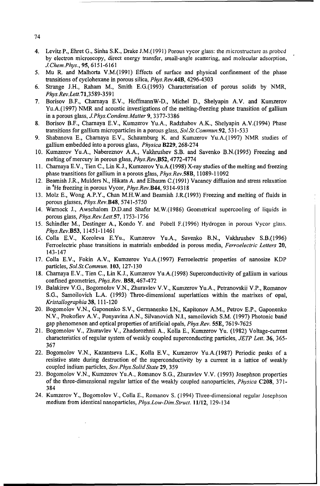- 4. Levitz P., Ehret G., Sinha S.K., Drake J.M.(1991) Porous vycor glass: the microstructure as probed by electron microscopy, direct energy transfer, small-angle scattering, and molecular adsorption, *J.Chem.Phys.,* 95, 6151-6161
- *5.* Mu R. and Malhorta V.M.(1991) Effects of surface and physical confinement of the phase transitions of cyclohexane in porous silica, *Phys.Rev.44B,* 4296-4303
- 6. Strange J.H., Raham M., Smith E.G.(1993) Characterisation of porous solids by NMR, *Phys.Rev.Lett.* 71,3589-3 *59* **1**
- 7. Borisov B.F., Charnaya E.V., HoffmannW-D., Michel D., Shelyapin A.V. and Kumzerov Yu.A.(1997) NMR and acoustic investigations of the melting-freezing phase transition of gallium in a porous glass, *J.Phys.Condens.Matter* 9, 3377-3386
- 8. Borisov B.F., Charnaya E.V., Kumzerov Yu.A., Radzhabov A.K., Shelyapin A.V.(1994) Phase transitions for gallium microparticles in a porous glass, *Sol.St. Commun.92, 531-533*
- 9. Shabanova E., Chamaya E.V., Schaumburg K. and Kumzerov Yu.A.(1997) NMR studies of gallium embedded into a porous glass, *Physica* B229, 268-274
- 10. Kumzerov Yu.A., Nabereznov A.A., Vakhrushev S.B. and Savenko B.N.(1995) Freezing and melting of mercury in porous glass, *Phys.Rev.B52,* 4772-4774
- 11. Charnaya E.V., Tien C., Lin K.J., Kumzerov Yu.A.(1998) X-ray studies of the melting and freezing phase transitions for gallium in a porous glass, *Phys.Rev.58B,* 11089-11092
- 12. Beamish J.R., Mulders N., Hikata A. and Elbaum C.(1991) Vacancy diffusion and stress relaxation in <sup>4</sup> He freezing in porous Vycor, *Phys.Rev.B44,* 9314-9318
- 13. Molz **E.,** Wong A.P.Y., Chan M.H.W.and Beamish J.R.(1993) Freezing and melting of fluids in porous glasses, Phys.Rev.B48, 5741-5750
- 14. Warnock J., Awschalom D.D.and Shafer M.W.(1986) Geometrical supercooling of liquids in porous glass, *Phys.Rev.Lett.57,* 1753-1756
- 15. Schindler M., Destinger A., Kondo Y. and Pobell F.(1996) Hydrogen in porous Vycor glass. Phys.Rev.B53, 11451-11461
- 16. Colla E.V., Koroleva E.Yu., Kumzerov Yu.A., Savenko B.N., Vakhrushev S.B.(1996) Ferroelectric phase transitions in materials embedded in porous media, *Ferroelectric Letters* 20, 143-147
- 17. Colla E.V., Fokin A.V., Kumzerov Yu.A.(1997) Ferroelectric properties of nanosize KDP particles, *Sol.St.Commun.* **103,** 127-130
- 18. Charnaya E.V., Tien C., Lin K.J., Kumzerov Yu.A.(1998) Superconductivity of gallium in various confined geometries, *Phys.Rev.* **B58,** 467-472
- 19. Balakirev V.G., Bogomolov V.N., Zhuravlev V.V., Kumzerov Yu.A., Petranovskii V.P., Romanov **S.G.,** Samoilovich L.A. (1993) Three-dimensional superlattices within the matrixes of opal, *Kristallographia* 38, 111-120
- 20. Bogomolov V.N., Gaponenko S.V., Germanenko I.N., Kapitonov A.M., Petrov E.P., Gaponenko N.V., Prokofiev A.V., Ponyavina A.N., Silvanovich N.I., samoilovich S.M. (1997) Photonic band gap phenomenon and optical properties of artificial opals, *Phys.Rev.* 55E, 7619-7625
- 21. Bogomolov V., Zhuravlev V., Zhadorozhnii A., Kolla E., Kumzerov Yu. (1982) Voltage-current characteristics of regular system of weakly coupled superconducting particles, *JETP Lett.* 36, 365- 367
- 22. Bogomolov V.N., Kazantseva L.K., Kolla E.V., Kumzerov Yu.A.(1987) Periodic peaks of a resistive state during destruction of the superconductivity by a current in a lattice of weakly coupled indium particles, *Sov.Phys.Solid State* 29, 359
- 23. Bogomolov V.N., Kumzerov Yu.A., Romanov **S.G.,** Zhuravlev V.V. (1993) Josephson properties of the three-dimensional regular lattice of the weakly coupled nanoparticles, *Physica* **C208,** 371- 384
- 24. Kumzerov Y., Bogomolov V., Colla E., Romanov S. (1994) Three-dimensional regular Josephson medium from identical nanoparticles, *Phys.Low-Dim.Struct.* 11/12, 129-134

74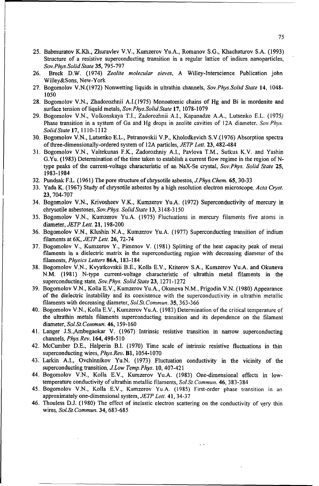- 25. Babmuratov K.Kh., Zhuravlev V.V., Kumzerov Yu.A., Romanov **S.G.,** Khachaturov S.A. (1993) Structure of a resistive superconducting transition in a regular lattice of indium nanoparticles, *Sov.Phys.Solid State* 35, 795-797
- 26. Breck D.W. (1974) *Zeolite molecular sieves,* A Willey-Interscience Publication john Willey&Sons, New-York
- 27. Bogomolov V.N.(1972) Nonwetting liquids in ultrathin channels, *Sov.Phys.Solid State* 14, 1048- 1050
- 28. Bogomolov V.N., Zhadorozhnii A.I.(1975) Monoatomic chains of Hg and Bi in mordenite and surface tension of liquid metals, *Sov.Phys.Solid State* 17, 1078-1079
- 29. Bogomolov V.N., Volkonskaya T.I., Zadorozhnii **A.I.,** Kapanadze A.A., Lutsenko E.L. (1975) Phase transition in a system of Ga and Hg drops in zeolite cavities of 12A diameter, *Sov.Phys. Solid State* 17, 1110-1112
- 30. Bogomolov V.N., Lutsenko E.L., Petranovskii V.P., Kholodkevich S.V.(1976) Absorption spectra of three-dimensionally-ordered system of 12A particles, *JETP Lett.* 23, 482-484
- **31.** Bogomolov V.N., Vaitekunas F.K., Zadorozhniy A.I., Pavlova T.M., Sutkus K.V. and Yashin G.Yu. (1983) Determination of the time taken to establish a current flow regime in the region of Ntype peaks of the current-voltage characteristic of an NaX-Se crystal, *Sov.Phys. Solid State* 25, 1983-1984
- 32. Pundsak F.L. (1961) The pore structure of chrysotile asbestos, *JPhys.Chem.* 65, 30-33
- 33. Yada K. (1967) Study of chrysotile asbestos by a high resolution electron microscope, *Acta Cryst.* 23, 704-707
- 34. Bogomolov V.N., Krivosheev V.K., Kumzerov Yu.A. (1972) Superconductivity of mercury in chrysotile asbestoses, *Sov.Phys. Solid State* 13, 3148-3150
- 35. Bogomolov V.N., Kumzerov Yu.A. (1975) Fluctuations in mercury filaments five atoms in diameter, *JETP Lett.* 21, 198-200
- 36. Bogomolov V.N., Klushin N.A., Kumzerov Yu.A. (1977) Superconducting transition of indium filaments at 6K, *JETP Lett.* 26, 72-74
- 37. Bogomolov V., Kumzerov Y., Pimenov V. (1981) Splitting of the heat capacity peak of metal filaments in a dielectric matrix in the superconducting region with- decreasing diameter of the filaments, *Physics Letters* 86A, 183-184
- 38. Bogomolov V.N., Kvyatkovskii B.E., Kolla E.V., Ktitorov S.A., Kumzerov Yu.A. and Okuneva N.M. (1981) N-type current-voltage characteristic of ultrathin metal filaments in the superconducting state, *Sov.Phys. Solid State* 23, 1271-1272
- 39. Bogomolov V.N., Kolla E.V., Kumzerov Yu.A., Okuneva N.M., Prigodin V.N. (1980) Appearance of the dielectric instability and its coexistence with the superconductivity in ultrathin metallic filaments with decreasing diameter, *Sol.St.Commmun.* 35, 363-366
- 40. Bogomolov V.N., KollaE.V., Kumzerov Yu.A. (1983) Determination of the critical temperature of the ultrathin metals filaments superconducting transition and its dependence on the filament diameter, *Sol.St.Commun.* 46, 159-160
- 41. Langer J.S.,Ambegaokar V. (1967) Intrinsic resistive transition in narrow superconducting channels, *Phys.Rev.* 164,498-510
- 42. McCumber D.E., Halperin B.I. (1970) Time scale of intrinsic resistive fluctuations in thin superconducting wires, *Phys.Rev.* B1, 1054-1070
- 43. Larkin A.I., Ovchinnikov Yu.N. (1973) Fluctuation conductivity in the vicinity of the superconducting transition, *J.Low Temp.Phys.* 10, 407-421
- 44. Bogomolov V.N., Kolla E.V., Kumzerov Yu.A. (1983) One-dimensional effects in lowtemperature conductivity of ultrathin metallic filaments, *Sol.St.Commun.* 46, 383-384
- 45. Bogomolov V.N., Kolla E.V., Kumzerov Yu.A. (1985) First-order phase transition in an approximately one-dimensional system, *JETP Lett.* 41, 34-37
- 46. Thouless D.J. (1980) The effect of inelastic electron scattering on the conductivity of very thin wires, *Sol.St.Commun.* 34, 683-685